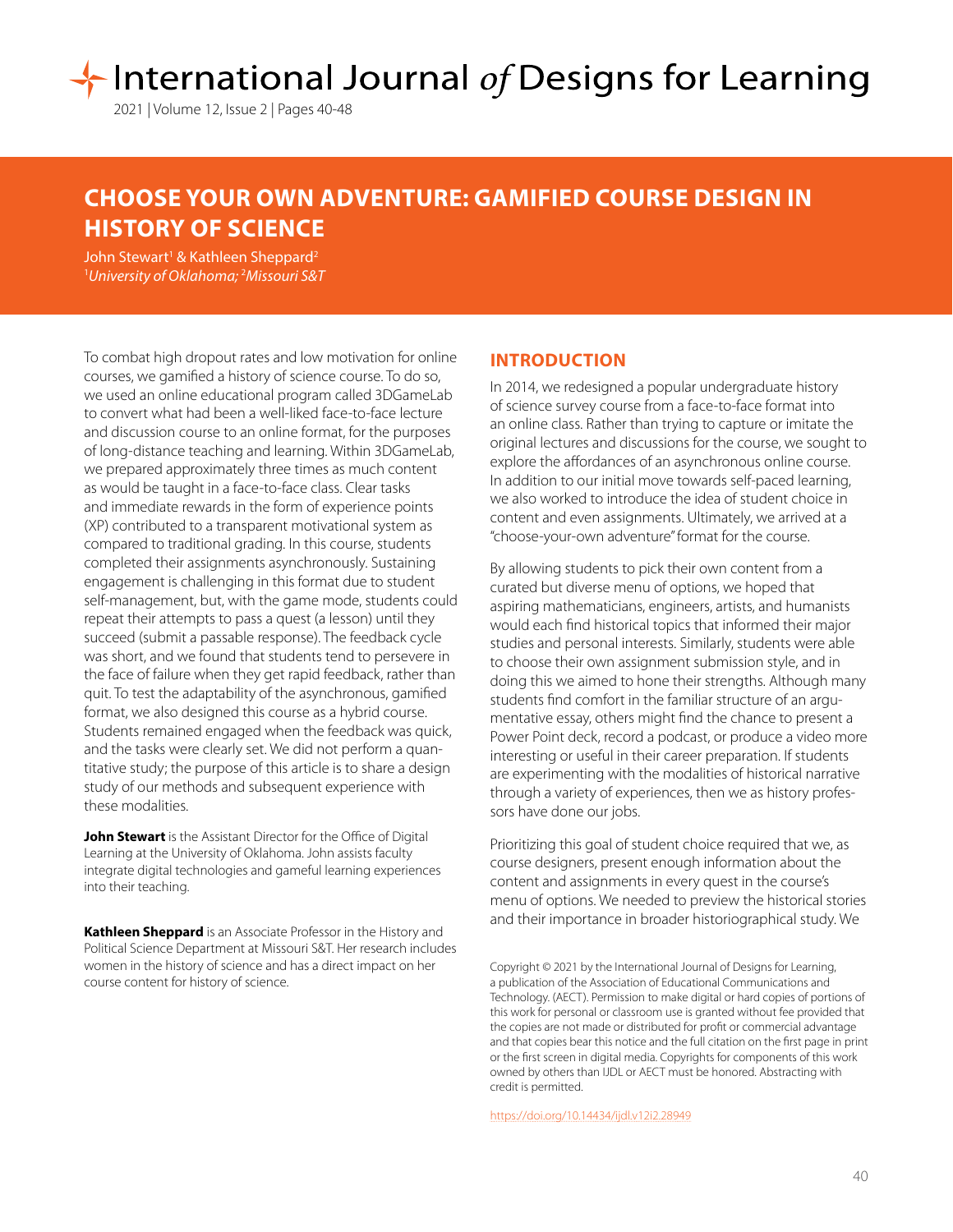# International Journal of Designs for Learning

2021 | Volume 12, Issue 2 | Pages 40-48

# **CHOOSE YOUR OWN ADVENTURE: GAMIFIED COURSE DESIGN IN HISTORY OF SCIENCE**

John Stewart<sup>1</sup> & Kathleen Sheppard<sup>2</sup> 1 *University of Oklahoma;* <sup>2</sup> *Missouri S&T*

To combat high dropout rates and low motivation for online courses, we gamified a history of science course. To do so, we used an online educational program called 3DGameLab to convert what had been a well-liked face-to-face lecture and discussion course to an online format, for the purposes of long-distance teaching and learning. Within 3DGameLab, we prepared approximately three times as much content as would be taught in a face-to-face class. Clear tasks and immediate rewards in the form of experience points (XP) contributed to a transparent motivational system as compared to traditional grading. In this course, students completed their assignments asynchronously. Sustaining engagement is challenging in this format due to student self-management, but, with the game mode, students could repeat their attempts to pass a quest (a lesson) until they succeed (submit a passable response). The feedback cycle was short, and we found that students tend to persevere in the face of failure when they get rapid feedback, rather than quit. To test the adaptability of the asynchronous, gamified format, we also designed this course as a hybrid course. Students remained engaged when the feedback was quick, and the tasks were clearly set. We did not perform a quantitative study; the purpose of this article is to share a design study of our methods and subsequent experience with these modalities.

**John Stewart** is the Assistant Director for the Office of Digital Learning at the University of Oklahoma. John assists faculty integrate digital technologies and gameful learning experiences into their teaching.

**Kathleen Sheppard** is an Associate Professor in the History and Political Science Department at Missouri S&T. Her research includes women in the history of science and has a direct impact on her course content for history of science.

# **INTRODUCTION**

In 2014, we redesigned a popular undergraduate history of science survey course from a face-to-face format into an online class. Rather than trying to capture or imitate the original lectures and discussions for the course, we sought to explore the affordances of an asynchronous online course. In addition to our initial move towards self-paced learning, we also worked to introduce the idea of student choice in content and even assignments. Ultimately, we arrived at a "choose-your-own adventure" format for the course.

By allowing students to pick their own content from a curated but diverse menu of options, we hoped that aspiring mathematicians, engineers, artists, and humanists would each find historical topics that informed their major studies and personal interests. Similarly, students were able to choose their own assignment submission style, and in doing this we aimed to hone their strengths. Although many students find comfort in the familiar structure of an argumentative essay, others might find the chance to present a Power Point deck, record a podcast, or produce a video more interesting or useful in their career preparation. If students are experimenting with the modalities of historical narrative through a variety of experiences, then we as history professors have done our jobs.

Prioritizing this goal of student choice required that we, as course designers, present enough information about the content and assignments in every quest in the course's menu of options. We needed to preview the historical stories and their importance in broader historiographical study. We

Copyright © 2021 by the International Journal of Designs for Learning, a publication of the Association of Educational Communications and Technology. (AECT). Permission to make digital or hard copies of portions of this work for personal or classroom use is granted without fee provided that the copies are not made or distributed for profit or commercial advantage and that copies bear this notice and the full citation on the first page in print or the first screen in digital media. Copyrights for components of this work owned by others than IJDL or AECT must be honored. Abstracting with credit is permitted.

[https://doi.org/](https://doi.org/10.14434/ijdl.v12i2.28949
)10.14434/ijdl.v12i2.28949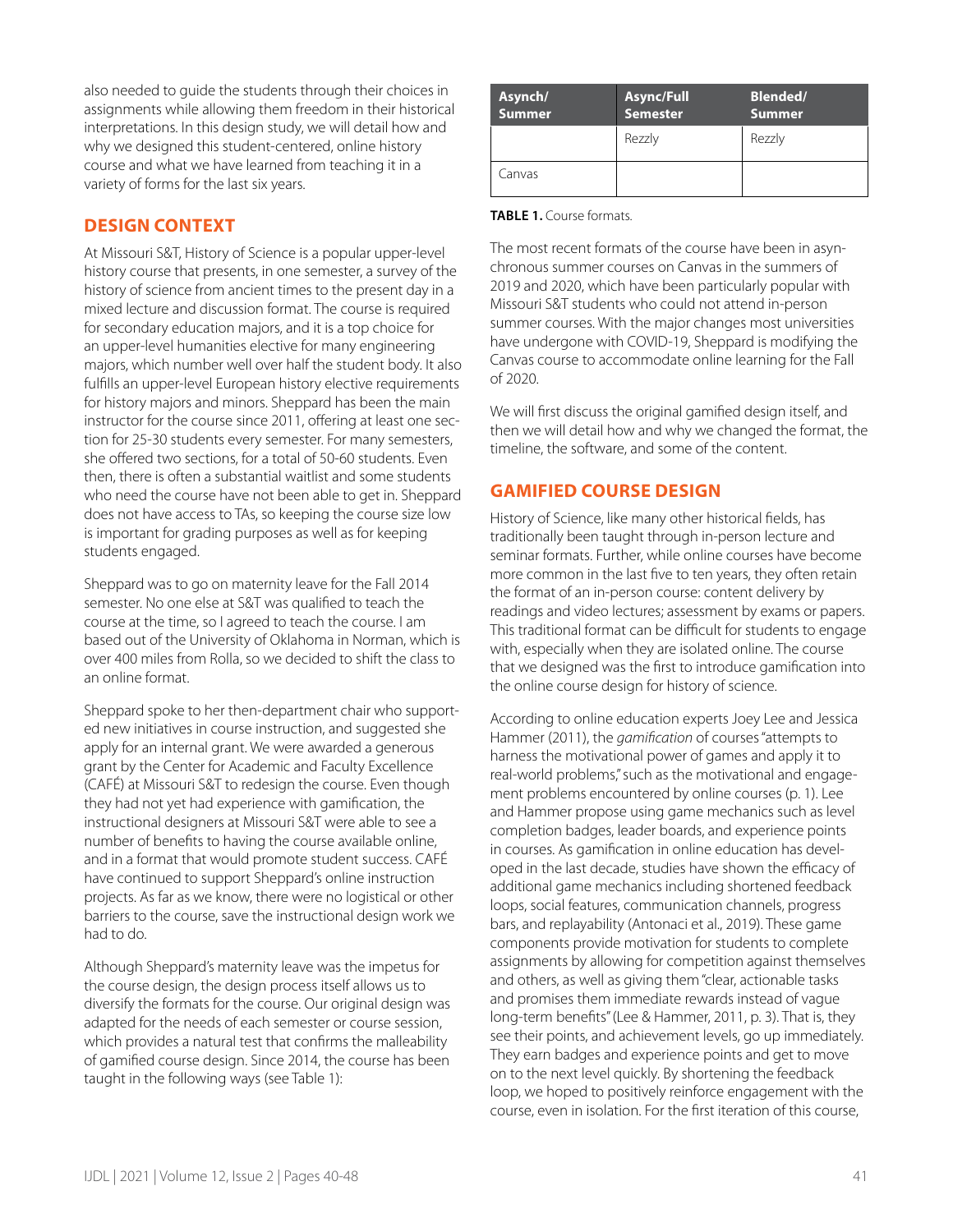also needed to guide the students through their choices in assignments while allowing them freedom in their historical interpretations. In this design study, we will detail how and why we designed this student-centered, online history course and what we have learned from teaching it in a variety of forms for the last six years.

# **DESIGN CONTEXT**

At Missouri S&T, History of Science is a popular upper-level history course that presents, in one semester, a survey of the history of science from ancient times to the present day in a mixed lecture and discussion format. The course is required for secondary education majors, and it is a top choice for an upper-level humanities elective for many engineering majors, which number well over half the student body. It also fulfills an upper-level European history elective requirements for history majors and minors. Sheppard has been the main instructor for the course since 2011, offering at least one section for 25-30 students every semester. For many semesters, she offered two sections, for a total of 50-60 students. Even then, there is often a substantial waitlist and some students who need the course have not been able to get in. Sheppard does not have access to TAs, so keeping the course size low is important for grading purposes as well as for keeping students engaged.

Sheppard was to go on maternity leave for the Fall 2014 semester. No one else at S&T was qualified to teach the course at the time, so I agreed to teach the course. I am based out of the University of Oklahoma in Norman, which is over 400 miles from Rolla, so we decided to shift the class to an online format.

Sheppard spoke to her then-department chair who supported new initiatives in course instruction, and suggested she apply for an internal grant. We were awarded a generous grant by the Center for Academic and Faculty Excellence (CAFÉ) at Missouri S&T to redesign the course. Even though they had not yet had experience with gamification, the instructional designers at Missouri S&T were able to see a number of benefits to having the course available online, and in a format that would promote student success. CAFÉ have continued to support Sheppard's online instruction projects. As far as we know, there were no logistical or other barriers to the course, save the instructional design work we had to do.

Although Sheppard's maternity leave was the impetus for the course design, the design process itself allows us to diversify the formats for the course. Our original design was adapted for the needs of each semester or course session, which provides a natural test that confirms the malleability of gamified course design. Since 2014, the course has been taught in the following ways (see Table 1):

| Asynch/<br>Summer | <b>Async/Full</b><br>Semester | <b>Blended/</b><br><b>Summer</b> |  |
|-------------------|-------------------------------|----------------------------------|--|
|                   | Rezzly                        | Rezzly                           |  |
| Canvas            |                               |                                  |  |

#### **TABLE 1.** Course formats.

The most recent formats of the course have been in asynchronous summer courses on Canvas in the summers of 2019 and 2020, which have been particularly popular with Missouri S&T students who could not attend in-person summer courses. With the major changes most universities have undergone with COVID-19, Sheppard is modifying the Canvas course to accommodate online learning for the Fall of 2020.

We will first discuss the original gamified design itself, and then we will detail how and why we changed the format, the timeline, the software, and some of the content.

# **GAMIFIED COURSE DESIGN**

History of Science, like many other historical fields, has traditionally been taught through in-person lecture and seminar formats. Further, while online courses have become more common in the last five to ten years, they often retain the format of an in-person course: content delivery by readings and video lectures; assessment by exams or papers. This traditional format can be difficult for students to engage with, especially when they are isolated online. The course that we designed was the first to introduce gamification into the online course design for history of science.

According to online education experts Joey Lee and Jessica Hammer (2011), the *gamification* of courses "attempts to harness the motivational power of games and apply it to real-world problems," such as the motivational and engagement problems encountered by online courses (p. 1). Lee and Hammer propose using game mechanics such as level completion badges, leader boards, and experience points in courses. As gamification in online education has developed in the last decade, studies have shown the efficacy of additional game mechanics including shortened feedback loops, social features, communication channels, progress bars, and replayability (Antonaci et al., 2019). These game components provide motivation for students to complete assignments by allowing for competition against themselves and others, as well as giving them "clear, actionable tasks and promises them immediate rewards instead of vague long-term benefits" (Lee & Hammer, 2011, p. 3). That is, they see their points, and achievement levels, go up immediately. They earn badges and experience points and get to move on to the next level quickly. By shortening the feedback loop, we hoped to positively reinforce engagement with the course, even in isolation. For the first iteration of this course,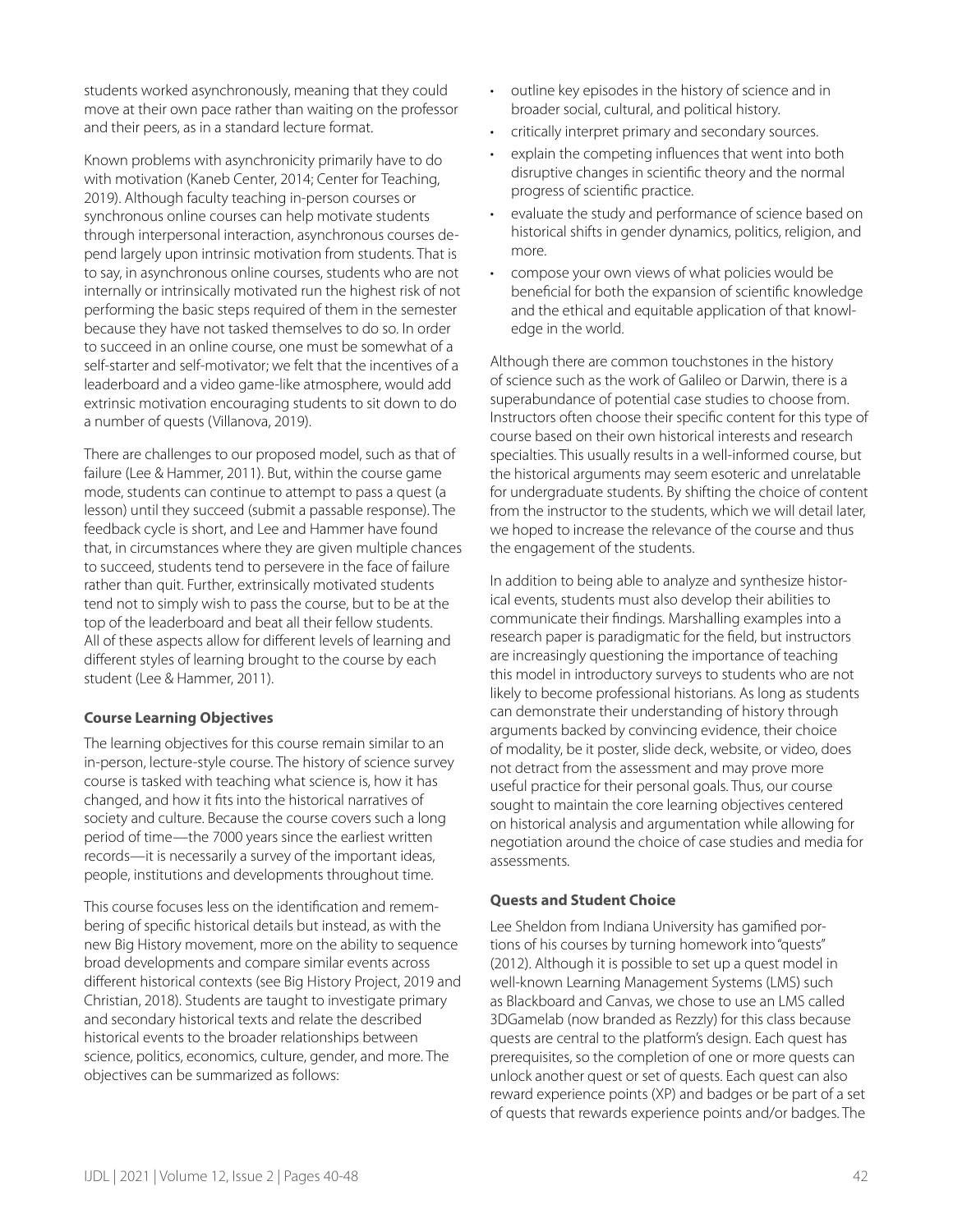students worked asynchronously, meaning that they could move at their own pace rather than waiting on the professor and their peers, as in a standard lecture format.

Known problems with asynchronicity primarily have to do with motivation (Kaneb Center, 2014; Center for Teaching, 2019). Although faculty teaching in-person courses or synchronous online courses can help motivate students through interpersonal interaction, asynchronous courses depend largely upon intrinsic motivation from students. That is to say, in asynchronous online courses, students who are not internally or intrinsically motivated run the highest risk of not performing the basic steps required of them in the semester because they have not tasked themselves to do so. In order to succeed in an online course, one must be somewhat of a self-starter and self-motivator; we felt that the incentives of a leaderboard and a video game-like atmosphere, would add extrinsic motivation encouraging students to sit down to do a number of quests (Villanova, 2019).

There are challenges to our proposed model, such as that of failure (Lee & Hammer, 2011). But, within the course game mode, students can continue to attempt to pass a quest (a lesson) until they succeed (submit a passable response). The feedback cycle is short, and Lee and Hammer have found that, in circumstances where they are given multiple chances to succeed, students tend to persevere in the face of failure rather than quit. Further, extrinsically motivated students tend not to simply wish to pass the course, but to be at the top of the leaderboard and beat all their fellow students. All of these aspects allow for different levels of learning and different styles of learning brought to the course by each student (Lee & Hammer, 2011).

## **Course Learning Objectives**

The learning objectives for this course remain similar to an in-person, lecture-style course. The history of science survey course is tasked with teaching what science is, how it has changed, and how it fits into the historical narratives of society and culture. Because the course covers such a long period of time—the 7000 years since the earliest written records—it is necessarily a survey of the important ideas, people, institutions and developments throughout time.

This course focuses less on the identification and remembering of specific historical details but instead, as with the new Big History movement, more on the ability to sequence broad developments and compare similar events across different historical contexts (see Big History Project, 2019 and Christian, 2018). Students are taught to investigate primary and secondary historical texts and relate the described historical events to the broader relationships between science, politics, economics, culture, gender, and more. The objectives can be summarized as follows:

- outline key episodes in the history of science and in broader social, cultural, and political history.
- critically interpret primary and secondary sources.
- explain the competing influences that went into both disruptive changes in scientific theory and the normal progress of scientific practice.
- evaluate the study and performance of science based on historical shifts in gender dynamics, politics, religion, and more.
- compose your own views of what policies would be beneficial for both the expansion of scientific knowledge and the ethical and equitable application of that knowledge in the world.

Although there are common touchstones in the history of science such as the work of Galileo or Darwin, there is a superabundance of potential case studies to choose from. Instructors often choose their specific content for this type of course based on their own historical interests and research specialties. This usually results in a well-informed course, but the historical arguments may seem esoteric and unrelatable for undergraduate students. By shifting the choice of content from the instructor to the students, which we will detail later, we hoped to increase the relevance of the course and thus the engagement of the students.

In addition to being able to analyze and synthesize historical events, students must also develop their abilities to communicate their findings. Marshalling examples into a research paper is paradigmatic for the field, but instructors are increasingly questioning the importance of teaching this model in introductory surveys to students who are not likely to become professional historians. As long as students can demonstrate their understanding of history through arguments backed by convincing evidence, their choice of modality, be it poster, slide deck, website, or video, does not detract from the assessment and may prove more useful practice for their personal goals. Thus, our course sought to maintain the core learning objectives centered on historical analysis and argumentation while allowing for negotiation around the choice of case studies and media for assessments.

## **Quests and Student Choice**

Lee Sheldon from Indiana University has gamified portions of his courses by turning homework into "quests" (2012). Although it is possible to set up a quest model in well-known Learning Management Systems (LMS) such as Blackboard and Canvas, we chose to use an LMS called 3DGamelab (now branded as Rezzly) for this class because quests are central to the platform's design. Each quest has prerequisites, so the completion of one or more quests can unlock another quest or set of quests. Each quest can also reward experience points (XP) and badges or be part of a set of quests that rewards experience points and/or badges. The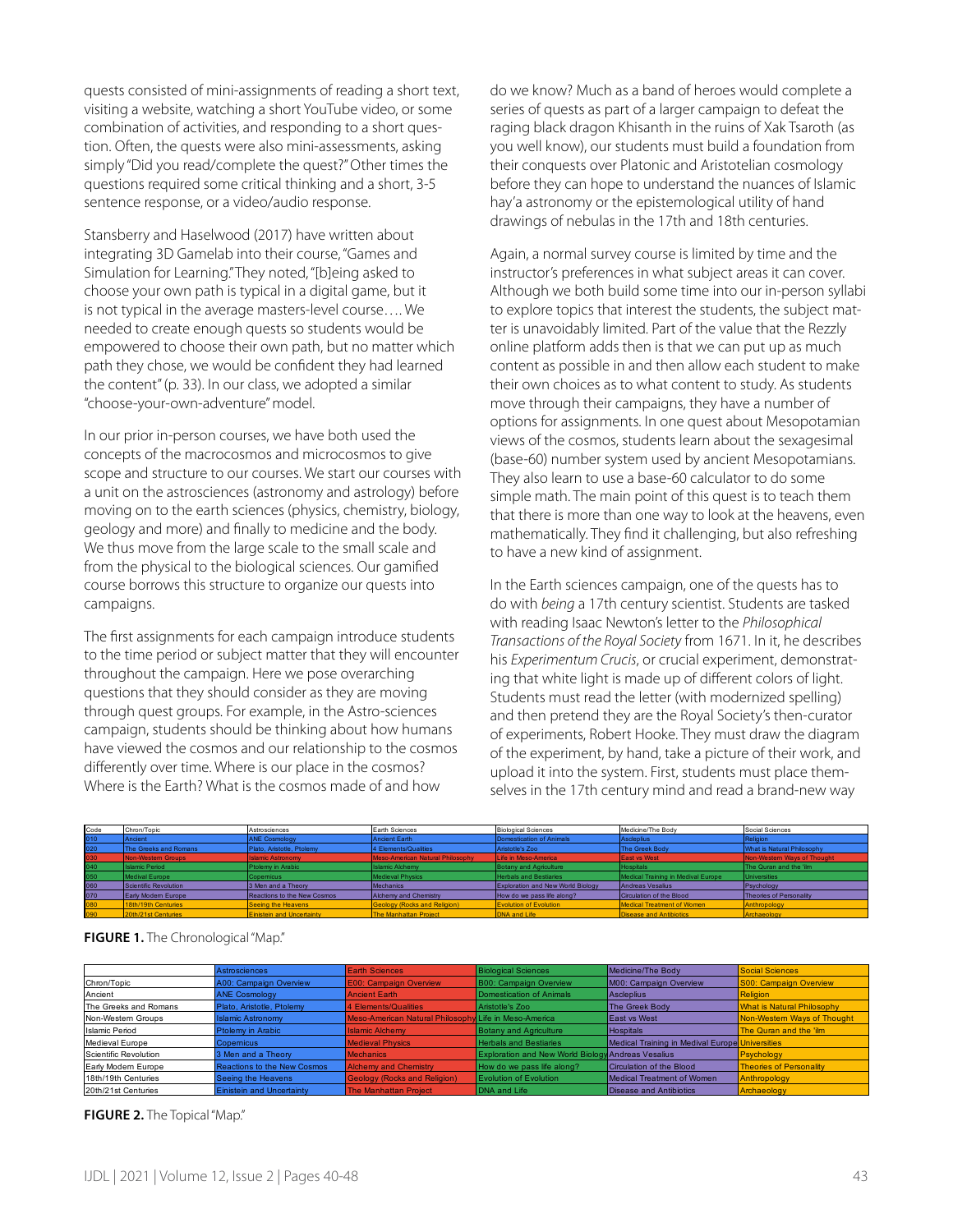quests consisted of mini-assignments of reading a short text, visiting a website, watching a short YouTube video, or some combination of activities, and responding to a short question. Often, the quests were also mini-assessments, asking simply "Did you read/complete the quest?" Other times the questions required some critical thinking and a short, 3-5 sentence response, or a video/audio response.

Stansberry and Haselwood (2017) have written about integrating 3D Gamelab into their course, "Games and Simulation for Learning." They noted, "[b]eing asked to choose your own path is typical in a digital game, but it is not typical in the average masters-level course…. We needed to create enough quests so students would be empowered to choose their own path, but no matter which path they chose, we would be confident they had learned the content" (p. 33). In our class, we adopted a similar "choose-your-own-adventure" model.

In our prior in-person courses, we have both used the concepts of the macrocosmos and microcosmos to give scope and structure to our courses. We start our courses with a unit on the astrosciences (astronomy and astrology) before moving on to the earth sciences (physics, chemistry, biology, geology and more) and finally to medicine and the body. We thus move from the large scale to the small scale and from the physical to the biological sciences. Our gamified course borrows this structure to organize our quests into campaigns.

The first assignments for each campaign introduce students to the time period or subject matter that they will encounter throughout the campaign. Here we pose overarching questions that they should consider as they are moving through quest groups. For example, in the Astro-sciences campaign, students should be thinking about how humans have viewed the cosmos and our relationship to the cosmos differently over time. Where is our place in the cosmos? Where is the Earth? What is the cosmos made of and how

do we know? Much as a band of heroes would complete a series of quests as part of a larger campaign to defeat the raging black dragon Khisanth in the ruins of Xak Tsaroth (as you well know), our students must build a foundation from their conquests over Platonic and Aristotelian cosmology before they can hope to understand the nuances of Islamic hay'a astronomy or the epistemological utility of hand drawings of nebulas in the 17th and 18th centuries.

Again, a normal survey course is limited by time and the instructor's preferences in what subject areas it can cover. Although we both build some time into our in-person syllabi to explore topics that interest the students, the subject matter is unavoidably limited. Part of the value that the Rezzly online platform adds then is that we can put up as much content as possible in and then allow each student to make their own choices as to what content to study. As students move through their campaigns, they have a number of options for assignments. In one quest about Mesopotamian views of the cosmos, students learn about the sexagesimal (base-60) number system used by ancient Mesopotamians. They also learn to use a base-60 calculator to do some simple math. The main point of this quest is to teach them that there is more than one way to look at the heavens, even mathematically. They find it challenging, but also refreshing to have a new kind of assignment.

In the Earth sciences campaign, one of the quests has to do with *being* a 17th century scientist. Students are tasked with reading Isaac Newton's letter to the *Philosophical Transactions of the Royal Society* from 1671. In it, he describes his *Experimentum Crucis*, or crucial experiment, demonstrating that white light is made up of different colors of light. Students must read the letter (with modernized spelling) and then pretend they are the Royal Society's then-curator of experiments, Robert Hooke. They must draw the diagram of the experiment, by hand, take a picture of their work, and upload it into the system. First, students must place themselves in the 17th century mind and read a brand-new way

| Code | Chron/Topic                | Astrosciences                    | Earth Sciences                   | <b>Biological Sciences</b>               | Medicine/The Body                  | Social Sciences                |
|------|----------------------------|----------------------------------|----------------------------------|------------------------------------------|------------------------------------|--------------------------------|
| 010  | Ancient                    | <b>ANE Cosmology</b>             | Ancient Earth                    | Domestication of Animals                 | <b>Ascleplius</b>                  | Religion                       |
| 020  | The Greeks and Romans      | Plato, Aristotle, Ptolemy        | 4 Elements/Qualities             | Aristotle's Zoo                          | The Greek Body                     | What is Natural Philosophy     |
|      | Non-Western Groups         | <b>Islamic Astronomy</b>         | Meso-American Natural Philosophy | Life in Meso-America                     | <b>East vs West</b>                | Non-Western Ways of Thought    |
| 040  | <b>Islamic Period</b>      | Ptolemy in Arabic                | <b>Islamic Alchemy</b>           | <b>Botany and Agriculture</b>            | <b>Hospitals</b>                   | The Quran and the 'ilm         |
| 050  | Medival Europe             | Copernicus                       | Medieval Physics                 | <b>Herbals and Bestiaries</b>            | Medical Training in Medival Europe | <b>Universities</b>            |
| 060  | Scientific Revolution      | 3 Men and a Theory               | Mechanics                        | <b>Exploration and New World Biology</b> | Andreas Vesalius                   | Psychology                     |
| 070  | <b>Early Modern Europe</b> | Reactions to the New Cosmos      | <b>Alchemy and Chemistry</b>     | How do we pass life along?               | Circulation of the Blood           | <b>Theories of Personality</b> |
| 080  | 18th/19th Centuries        | Seeing the Heavens               | Geology (Rocks and Religion)     | Evolution of Evolution                   | Medical Treatment of Women         | Anthropology                   |
| 090  | 20th/21st Centuries        | <b>Einistein and Uncertainty</b> | <b>The Manhattan Project</b>     | DNA and Life                             | <b>Disease and Antibiotics</b>     | Archaeology                    |

|                       | Astrosciences                      | <b>Earth Sciences</b>                                 | <b>Biological Sciences</b>                                | Medicine/The Body                               | Social Sciences                   |
|-----------------------|------------------------------------|-------------------------------------------------------|-----------------------------------------------------------|-------------------------------------------------|-----------------------------------|
| Chron/Topic           | A00: Campaign Overview             | <b>E00: Campaign Overview</b>                         | B00: Campaign Overview                                    | M00: Campaign Overview                          | S00: Campaign Overview            |
| Ancient               | <b>ANE Cosmology</b>               | <b>Ancient Earth</b>                                  | Domestication of Animals                                  | Ascleplius                                      | <b>Religion</b>                   |
| The Greeks and Romans | Plato, Aristotle, Ptolemy          | 4 Elements/Qualities                                  | Aristotle's Zoo                                           | The Greek Body                                  | <b>What is Natural Philosophy</b> |
| Non-Western Groups    | <b>Islamic Astronomy</b>           | Meso-American Natural Philosophy Life in Meso-America |                                                           | <b>East vs West</b>                             | Non-Westem Ways of Thought        |
| <b>Islamic Period</b> | <b>Ptolemy in Arabic</b>           | <b>Islamic Alchemy</b>                                | <b>Botany and Agriculture</b>                             | <b>Hospitals</b>                                | The Quran and the 'ilm            |
| Medieval Europe       | <b>Copemicus</b>                   | <b>Medieval Physics</b>                               | <b>Herbals and Bestiaries</b>                             | Medical Training in Medival Europe Universities |                                   |
| Scientific Revolution | 3 Men and a Theory                 | <b>Mechanics</b>                                      | <b>Exploration and New World Biology Andreas Vesalius</b> |                                                 | Psychology                        |
| Early Modern Europe   | <b>Reactions to the New Cosmos</b> | <b>Alchemy and Chemistry</b>                          | How do we pass life along?                                | Circulation of the Blood                        | <b>Theories of Personality</b>    |
| 18th/19th Centuries   | Seeing the Heavens                 | <b>Geology (Rocks and Religion)</b>                   | <b>Evolution of Evolution</b>                             | Medical Treatment of Women                      | Anthropology                      |
| 20th/21st Centuries   | <b>Einistein and Uncertainty</b>   | <b>The Manhattan Project</b>                          | DNA and Life                                              | Disease and Antibiotics                         | Archaeology                       |

#### **FIGURE 1.** The Chronological "Map."

#### **FIGURE 2.** The Topical "Map."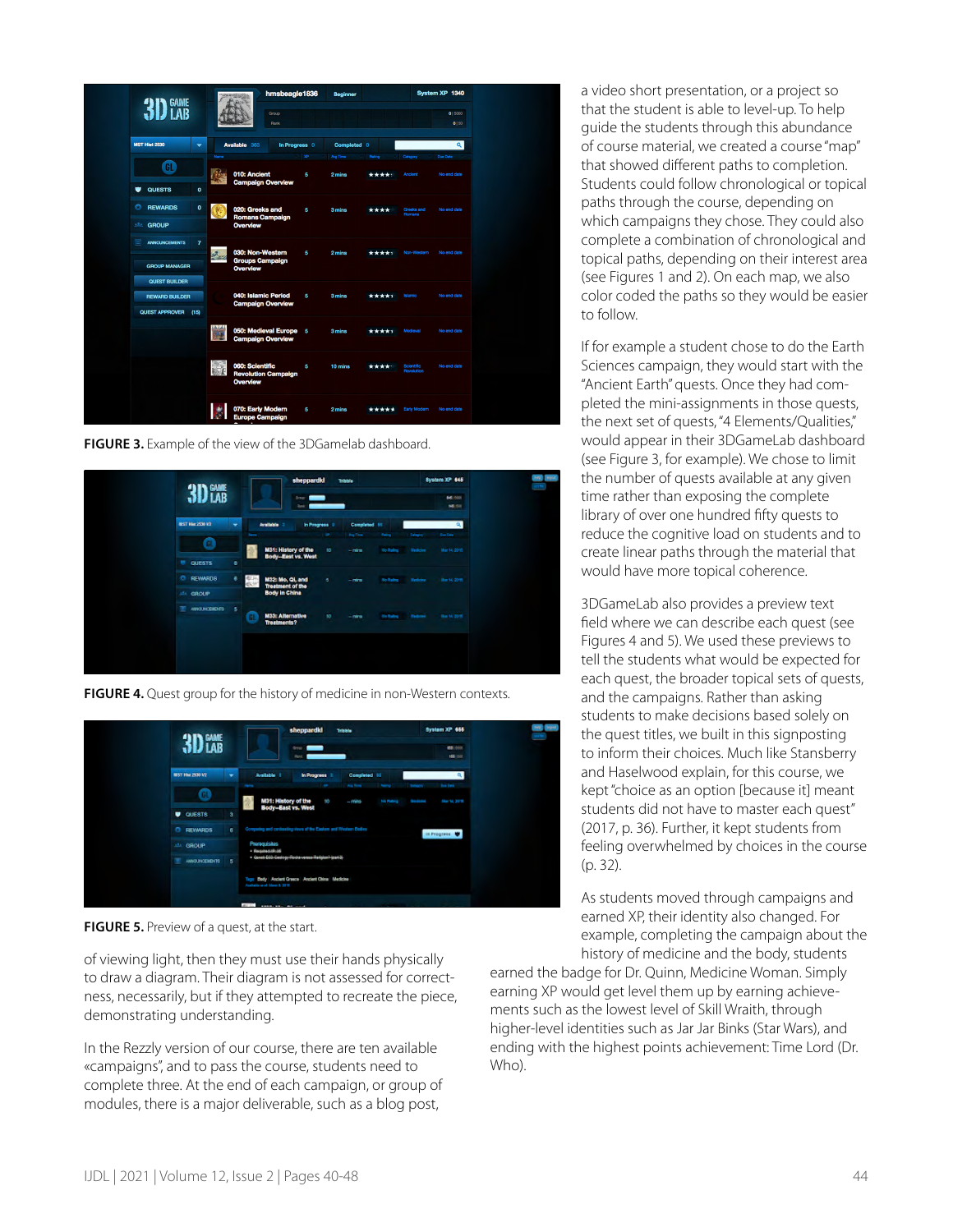|                                                 |      | hmsbeagle1836<br><b>START CONTROL</b>                     |          | <b>Beginner</b>    |                 |                                 | System XP 1340          |
|-------------------------------------------------|------|-----------------------------------------------------------|----------|--------------------|-----------------|---------------------------------|-------------------------|
| $3Df$ ame                                       |      | Group<br>Rank                                             |          |                    |                 |                                 | 015000<br>0   50        |
| <b>MST Hist 2530</b><br>$\overline{\mathbf{v}}$ |      | Available 363<br>In Progress 0                            |          | Completed 0        |                 |                                 | $\alpha$                |
| Œ                                               | Name | 010: Ancient                                              | XP.<br>6 | Aug Time<br>2 mins | Rating<br>***** | Category<br><b>Ancient</b>      | Due Date<br>No end date |
| ٠<br><b>QUESTS</b><br>$\bullet$                 |      | <b>Campaign Overview</b>                                  |          |                    |                 |                                 |                         |
| n<br><b>REWARDS</b><br>$\bullet$                |      | 020: Greeks and<br><b>Romans Campaign</b>                 | 5        | 3 mins             | ****            | Greeks and<br><b>Romans</b>     | No end date             |
| <b>ARA GROUP</b>                                |      | Overview                                                  |          |                    |                 |                                 |                         |
| E<br><b>ANNOUNCEMENTS</b><br>$\overline{7}$     |      | 030: Non-Western                                          | 6        | 2 mins             | *****           | Non-Western                     | No end date             |
| <b>GROUP MANAGER</b>                            |      | <b>Groups Campaign</b><br>Overview                        |          |                    |                 |                                 |                         |
| <b>QUEST BUILDER</b><br><b>REWARD BUILDER</b>   |      | 040: Islamic Period                                       | 6        | 3 mins             | *****           | Islamic                         | No end date             |
| <b>QUEST APPROVER</b><br>(15)                   |      | <b>Campaign Overview</b>                                  |          |                    |                 |                                 |                         |
|                                                 |      | 050: Medieval Europe 5<br><b>Campaign Overview</b>        |          | 3 mins             | *****           | Medieval                        | No end date             |
|                                                 | 日によ  | 060: Scientific<br><b>Revolution Campaign</b><br>Overview | 5        | 10 mins            | ****            | Scientific<br><b>Revolution</b> | No end date             |
|                                                 |      | 070: Early Modern<br><b>Europe Campaign</b>               | 5        | 2 mins             | *****           | Early Modern                    | No end date             |

**FIGURE 3.** Example of the view of the 3DGamelab dashboard.



**FIGURE 4.** Quest group for the history of medicine in non-Western contexts.



**FIGURE 5.** Preview of a quest, at the start.

of viewing light, then they must use their hands physically to draw a diagram. Their diagram is not assessed for correctness, necessarily, but if they attempted to recreate the piece, demonstrating understanding.

In the Rezzly version of our course, there are ten available «campaigns", and to pass the course, students need to complete three. At the end of each campaign, or group of modules, there is a major deliverable, such as a blog post,

a video short presentation, or a project so that the student is able to level-up. To help guide the students through this abundance of course material, we created a course "map" that showed different paths to completion. Students could follow chronological or topical paths through the course, depending on which campaigns they chose. They could also complete a combination of chronological and topical paths, depending on their interest area (see Figures 1 and 2). On each map, we also color coded the paths so they would be easier to follow.

If for example a student chose to do the Earth Sciences campaign, they would start with the "Ancient Earth" quests. Once they had completed the mini-assignments in those quests, the next set of quests, "4 Elements/Qualities," would appear in their 3DGameLab dashboard (see Figure 3, for example). We chose to limit the number of quests available at any given time rather than exposing the complete library of over one hundred fifty quests to reduce the cognitive load on students and to create linear paths through the material that would have more topical coherence.

3DGameLab also provides a preview text field where we can describe each quest (see Figures 4 and 5). We used these previews to tell the students what would be expected for each quest, the broader topical sets of quests, and the campaigns. Rather than asking students to make decisions based solely on the quest titles, we built in this signposting to inform their choices. Much like Stansberry and Haselwood explain, for this course, we kept "choice as an option [because it] meant students did not have to master each quest" (2017, p. 36). Further, it kept students from feeling overwhelmed by choices in the course (p. 32).

As students moved through campaigns and earned XP, their identity also changed. For example, completing the campaign about the history of medicine and the body, students

earned the badge for Dr. Quinn, Medicine Woman. Simply earning XP would get level them up by earning achievements such as the lowest level of Skill Wraith, through higher-level identities such as Jar Jar Binks (Star Wars), and ending with the highest points achievement: Time Lord (Dr. Who).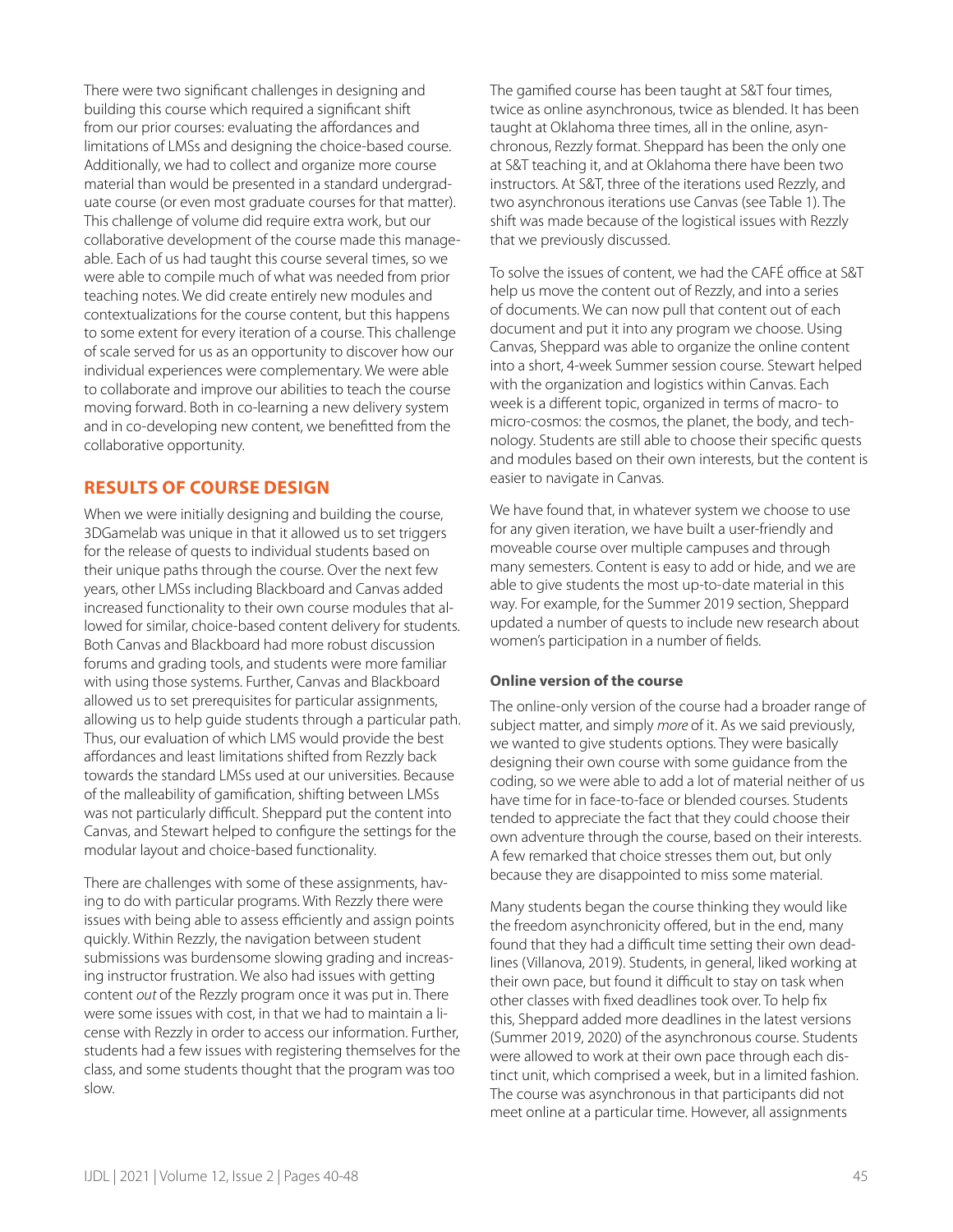There were two significant challenges in designing and building this course which required a significant shift from our prior courses: evaluating the affordances and limitations of LMSs and designing the choice-based course. Additionally, we had to collect and organize more course material than would be presented in a standard undergraduate course (or even most graduate courses for that matter). This challenge of volume did require extra work, but our collaborative development of the course made this manageable. Each of us had taught this course several times, so we were able to compile much of what was needed from prior teaching notes. We did create entirely new modules and contextualizations for the course content, but this happens to some extent for every iteration of a course. This challenge of scale served for us as an opportunity to discover how our individual experiences were complementary. We were able to collaborate and improve our abilities to teach the course moving forward. Both in co-learning a new delivery system and in co-developing new content, we benefitted from the collaborative opportunity.

# **RESULTS OF COURSE DESIGN**

When we were initially designing and building the course, 3DGamelab was unique in that it allowed us to set triggers for the release of quests to individual students based on their unique paths through the course. Over the next few years, other LMSs including Blackboard and Canvas added increased functionality to their own course modules that allowed for similar, choice-based content delivery for students. Both Canvas and Blackboard had more robust discussion forums and grading tools, and students were more familiar with using those systems. Further, Canvas and Blackboard allowed us to set prerequisites for particular assignments, allowing us to help guide students through a particular path. Thus, our evaluation of which LMS would provide the best affordances and least limitations shifted from Rezzly back towards the standard LMSs used at our universities. Because of the malleability of gamification, shifting between LMSs was not particularly difficult. Sheppard put the content into Canvas, and Stewart helped to configure the settings for the modular layout and choice-based functionality.

There are challenges with some of these assignments, having to do with particular programs. With Rezzly there were issues with being able to assess efficiently and assign points quickly. Within Rezzly, the navigation between student submissions was burdensome slowing grading and increasing instructor frustration. We also had issues with getting content *out* of the Rezzly program once it was put in. There were some issues with cost, in that we had to maintain a license with Rezzly in order to access our information. Further, students had a few issues with registering themselves for the class, and some students thought that the program was too slow.

The gamified course has been taught at S&T four times, twice as online asynchronous, twice as blended. It has been taught at Oklahoma three times, all in the online, asynchronous, Rezzly format. Sheppard has been the only one at S&T teaching it, and at Oklahoma there have been two instructors. At S&T, three of the iterations used Rezzly, and two asynchronous iterations use Canvas (see Table 1). The shift was made because of the logistical issues with Rezzly that we previously discussed.

To solve the issues of content, we had the CAFÉ office at S&T help us move the content out of Rezzly, and into a series of documents. We can now pull that content out of each document and put it into any program we choose. Using Canvas, Sheppard was able to organize the online content into a short, 4-week Summer session course. Stewart helped with the organization and logistics within Canvas. Each week is a different topic, organized in terms of macro- to micro-cosmos: the cosmos, the planet, the body, and technology. Students are still able to choose their specific quests and modules based on their own interests, but the content is easier to navigate in Canvas.

We have found that, in whatever system we choose to use for any given iteration, we have built a user-friendly and moveable course over multiple campuses and through many semesters. Content is easy to add or hide, and we are able to give students the most up-to-date material in this way. For example, for the Summer 2019 section, Sheppard updated a number of quests to include new research about women's participation in a number of fields.

## **Online version of the course**

The online-only version of the course had a broader range of subject matter, and simply *more* of it. As we said previously, we wanted to give students options. They were basically designing their own course with some guidance from the coding, so we were able to add a lot of material neither of us have time for in face-to-face or blended courses. Students tended to appreciate the fact that they could choose their own adventure through the course, based on their interests. A few remarked that choice stresses them out, but only because they are disappointed to miss some material.

Many students began the course thinking they would like the freedom asynchronicity offered, but in the end, many found that they had a difficult time setting their own deadlines (Villanova, 2019). Students, in general, liked working at their own pace, but found it difficult to stay on task when other classes with fixed deadlines took over. To help fix this, Sheppard added more deadlines in the latest versions (Summer 2019, 2020) of the asynchronous course. Students were allowed to work at their own pace through each distinct unit, which comprised a week, but in a limited fashion. The course was asynchronous in that participants did not meet online at a particular time. However, all assignments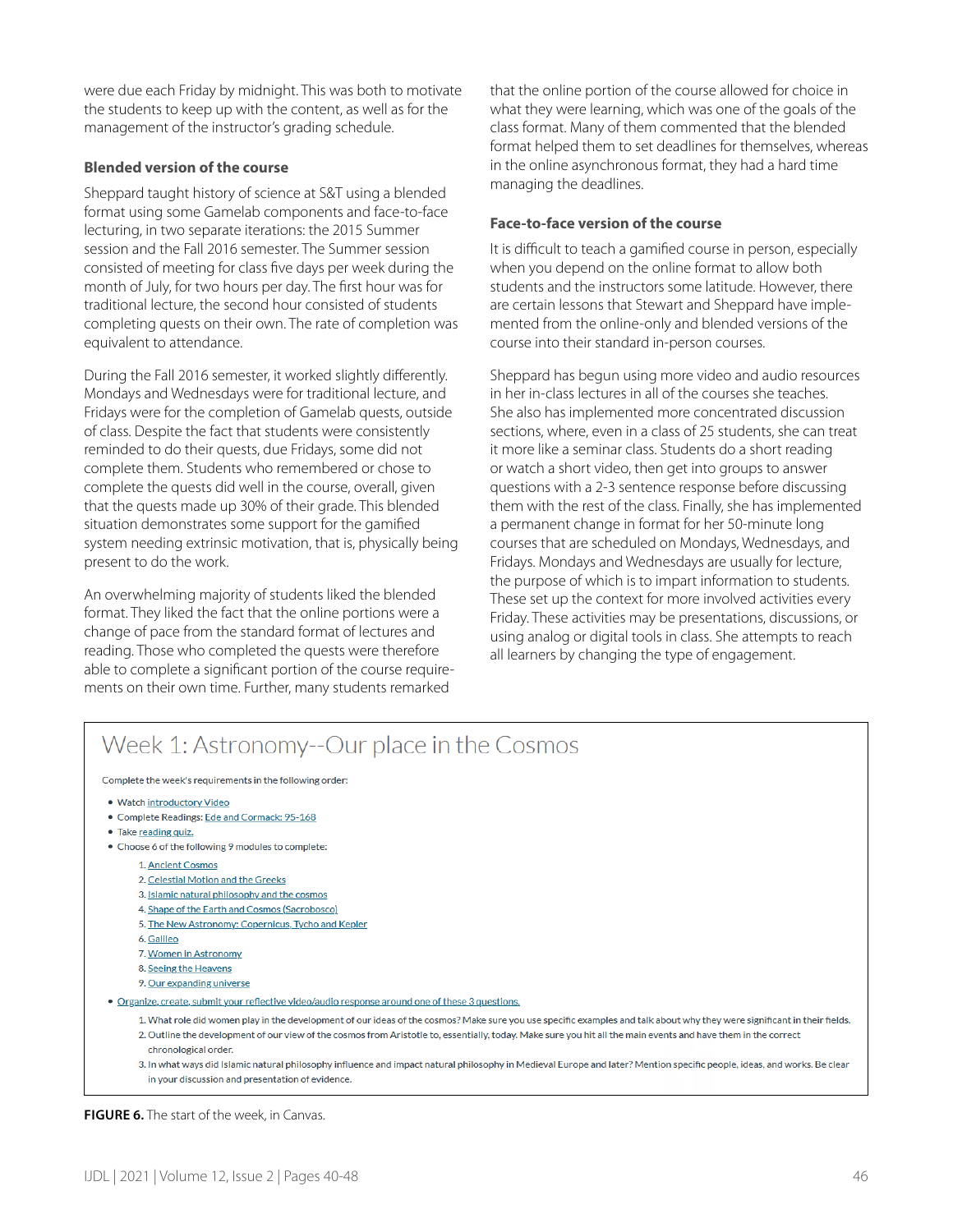were due each Friday by midnight. This was both to motivate the students to keep up with the content, as well as for the management of the instructor's grading schedule.

#### **Blended version of the course**

Sheppard taught history of science at S&T using a blended format using some Gamelab components and face-to-face lecturing, in two separate iterations: the 2015 Summer session and the Fall 2016 semester. The Summer session consisted of meeting for class five days per week during the month of July, for two hours per day. The first hour was for traditional lecture, the second hour consisted of students completing quests on their own. The rate of completion was equivalent to attendance.

During the Fall 2016 semester, it worked slightly differently. Mondays and Wednesdays were for traditional lecture, and Fridays were for the completion of Gamelab quests, outside of class. Despite the fact that students were consistently reminded to do their quests, due Fridays, some did not complete them. Students who remembered or chose to complete the quests did well in the course, overall, given that the quests made up 30% of their grade. This blended situation demonstrates some support for the gamified system needing extrinsic motivation, that is, physically being present to do the work.

An overwhelming majority of students liked the blended format. They liked the fact that the online portions were a change of pace from the standard format of lectures and reading. Those who completed the quests were therefore able to complete a significant portion of the course requirements on their own time. Further, many students remarked

that the online portion of the course allowed for choice in what they were learning, which was one of the goals of the class format. Many of them commented that the blended format helped them to set deadlines for themselves, whereas in the online asynchronous format, they had a hard time managing the deadlines.

#### **Face-to-face version of the course**

It is difficult to teach a gamified course in person, especially when you depend on the online format to allow both students and the instructors some latitude. However, there are certain lessons that Stewart and Sheppard have implemented from the online-only and blended versions of the course into their standard in-person courses.

Sheppard has begun using more video and audio resources in her in-class lectures in all of the courses she teaches. She also has implemented more concentrated discussion sections, where, even in a class of 25 students, she can treat it more like a seminar class. Students do a short reading or watch a short video, then get into groups to answer questions with a 2-3 sentence response before discussing them with the rest of the class. Finally, she has implemented a permanent change in format for her 50-minute long courses that are scheduled on Mondays, Wednesdays, and Fridays. Mondays and Wednesdays are usually for lecture, the purpose of which is to impart information to students. These set up the context for more involved activities every Friday. These activities may be presentations, discussions, or using analog or digital tools in class. She attempts to reach all learners by changing the type of engagement.

# Week 1: Astronomy--Our place in the Cosmos

Complete the week's requirements in the following order:

- . Watch introductory Video
- Complete Readings: Ede and Cormack: 95-168
- Take reading quiz.
- Choose 6 of the following 9 modules to complete:
	- 1. Ancient Cosmos
	- 2. Celestial Motion and the Greeks
	- 3. Islamic natural philosophy and the cosmos
	- 4. Shape of the Earth and Cosmos (Sacrobosco)
	- 5. The New Astronomy: Copernicus, Tycho and Kepler
	- 6. Galileo
	- 7. Women in Astronomy
	- 8. Seeing the Heavens
	- 9. Our expanding universe
- Organize, create, submit your reflective video/audio response around one of these 3 questions.
	- 1. What role did women play in the development of our ideas of the cosmos? Make sure you use specific examples and talk about why they were significant in their fields. 2. Outline the development of our view of the cosmos from Aristotle to, essentially, today. Make sure you hit all the main events and have them in the correct chronological order.
	- 3. In what ways did Islamic natural philosophy influence and impact natural philosophy in Medieval Europe and later? Mention specific people, ideas, and works. Be clear in your discussion and presentation of evidence.

**FIGURE 6.** The start of the week, in Canvas.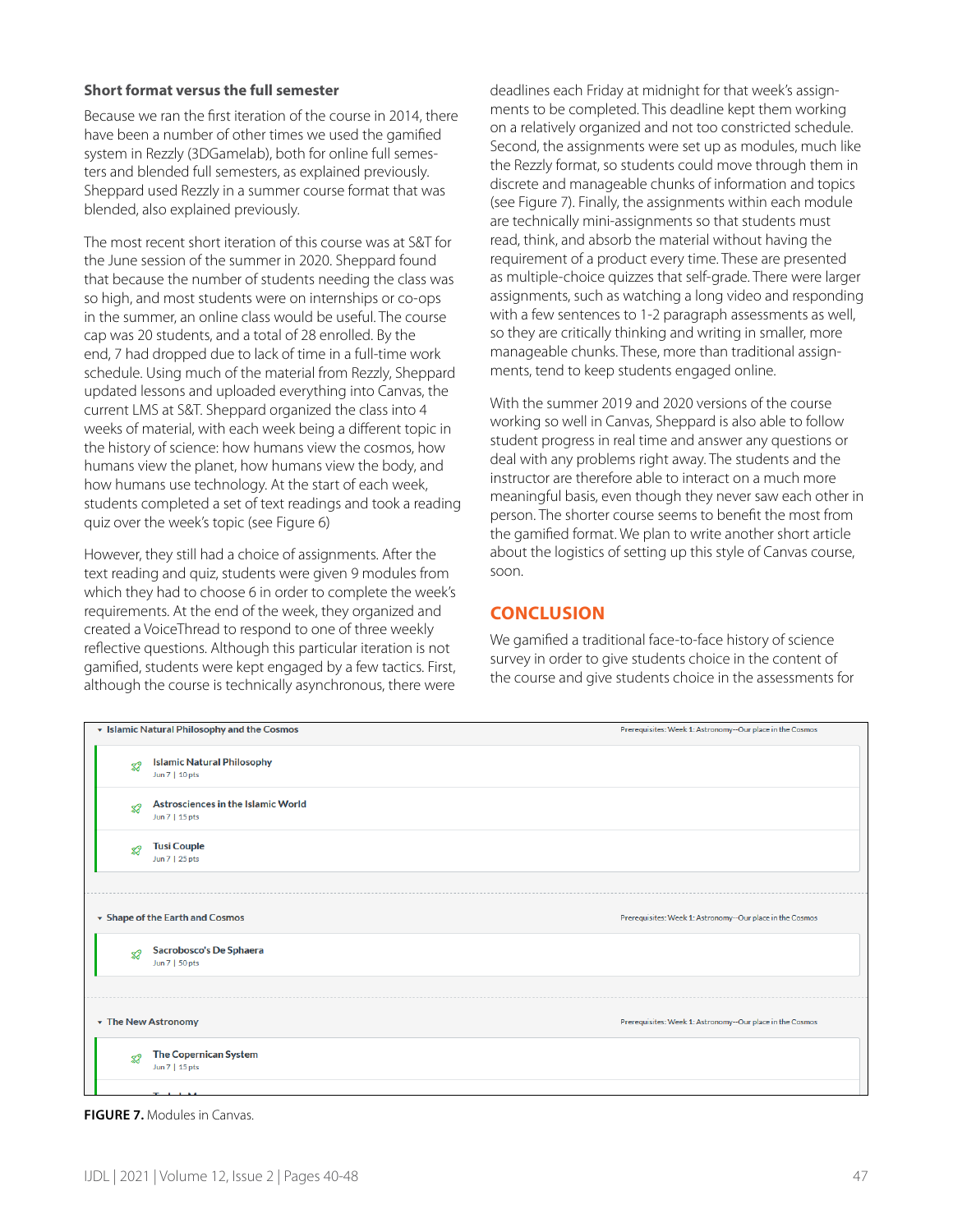#### **Short format versus the full semester**

Because we ran the first iteration of the course in 2014, there have been a number of other times we used the gamified system in Rezzly (3DGamelab), both for online full semesters and blended full semesters, as explained previously. Sheppard used Rezzly in a summer course format that was blended, also explained previously.

The most recent short iteration of this course was at S&T for the June session of the summer in 2020. Sheppard found that because the number of students needing the class was so high, and most students were on internships or co-ops in the summer, an online class would be useful. The course cap was 20 students, and a total of 28 enrolled. By the end, 7 had dropped due to lack of time in a full-time work schedule. Using much of the material from Rezzly, Sheppard updated lessons and uploaded everything into Canvas, the current LMS at S&T. Sheppard organized the class into 4 weeks of material, with each week being a different topic in the history of science: how humans view the cosmos, how humans view the planet, how humans view the body, and how humans use technology. At the start of each week, students completed a set of text readings and took a reading quiz over the week's topic (see Figure 6)

However, they still had a choice of assignments. After the text reading and quiz, students were given 9 modules from which they had to choose 6 in order to complete the week's requirements. At the end of the week, they organized and created a VoiceThread to respond to one of three weekly reflective questions. Although this particular iteration is not gamified, students were kept engaged by a few tactics. First, although the course is technically asynchronous, there were deadlines each Friday at midnight for that week's assignments to be completed. This deadline kept them working on a relatively organized and not too constricted schedule. Second, the assignments were set up as modules, much like the Rezzly format, so students could move through them in discrete and manageable chunks of information and topics (see Figure 7). Finally, the assignments within each module are technically mini-assignments so that students must read, think, and absorb the material without having the requirement of a product every time. These are presented as multiple-choice quizzes that self-grade. There were larger assignments, such as watching a long video and responding with a few sentences to 1-2 paragraph assessments as well, so they are critically thinking and writing in smaller, more manageable chunks. These, more than traditional assignments, tend to keep students engaged online.

With the summer 2019 and 2020 versions of the course working so well in Canvas, Sheppard is also able to follow student progress in real time and answer any questions or deal with any problems right away. The students and the instructor are therefore able to interact on a much more meaningful basis, even though they never saw each other in person. The shorter course seems to benefit the most from the gamified format. We plan to write another short article about the logistics of setting up this style of Canvas course, soon.

# **CONCLUSION**

We gamified a traditional face-to-face history of science survey in order to give students choice in the content of the course and give students choice in the assessments for

|                   | • Islamic Natural Philosophy and the Cosmos                 | Prerequisites: Week 1: Astronomy -- Our place in the Cosmos |
|-------------------|-------------------------------------------------------------|-------------------------------------------------------------|
| 82                | <b>Islamic Natural Philosophy</b><br>Jun 7   10 pts         |                                                             |
| 82                | <b>Astrosciences in the Islamic World</b><br>Jun 7   15 pts |                                                             |
| 82                | <b>Tusi Couple</b><br>Jun 7   25 pts                        |                                                             |
|                   |                                                             |                                                             |
|                   | ▼ Shape of the Earth and Cosmos                             | Prerequisites: Week 1: Astronomy -- Our place in the Cosmos |
| $\mathbf{Z}^2$    | Sacrobosco's De Sphaera<br>Jun 7   50 pts                   |                                                             |
|                   |                                                             |                                                             |
| The New Astronomy |                                                             | Prerequisites: Week 1: Astronomy -- Our place in the Cosmos |
| $\mathbf{Z}^2$    | <b>The Copernican System</b><br>Jun 7   15 pts              |                                                             |
|                   | The best of the Botton                                      |                                                             |

**FIGURE 7.** Modules in Canvas.